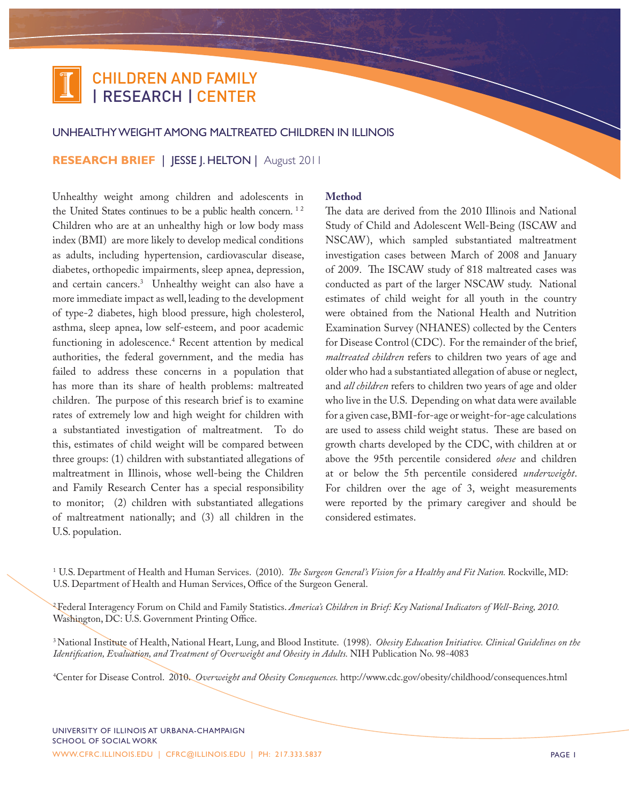# CHILDREN AND FAMILY | RESEARCH | CENTER

### Unhealthy Weight among Maltreated Children in Illinois

**RESEARCH BRIEF** | jesse j. helton | August 2011

Unhealthy weight among children and adolescents in the United States continues to be a public health concern.<sup>12</sup> Children who are at an unhealthy high or low body mass index (BMI) are more likely to develop medical conditions as adults, including hypertension, cardiovascular disease, diabetes, orthopedic impairments, sleep apnea, depression, and certain cancers.3 Unhealthy weight can also have a more immediate impact as well, leading to the development of type-2 diabetes, high blood pressure, high cholesterol, asthma, sleep apnea, low self-esteem, and poor academic functioning in adolescence.4 Recent attention by medical authorities, the federal government, and the media has failed to address these concerns in a population that has more than its share of health problems: maltreated children. The purpose of this research brief is to examine rates of extremely low and high weight for children with a substantiated investigation of maltreatment. To do this, estimates of child weight will be compared between three groups: (1) children with substantiated allegations of maltreatment in Illinois, whose well-being the Children and Family Research Center has a special responsibility to monitor; (2) children with substantiated allegations of maltreatment nationally; and (3) all children in the U.S. population.

#### **Method**

The data are derived from the 2010 Illinois and National Study of Child and Adolescent Well-Being (ISCAW and NSCAW), which sampled substantiated maltreatment investigation cases between March of 2008 and January of 2009. The ISCAW study of 818 maltreated cases was conducted as part of the larger NSCAW study. National estimates of child weight for all youth in the country were obtained from the National Health and Nutrition Examination Survey (NHANES) collected by the Centers for Disease Control (CDC). For the remainder of the brief, *maltreated children* refers to children two years of age and older who had a substantiated allegation of abuse or neglect, and *all children* refers to children two years of age and older who live in the U.S. Depending on what data were available for a given case, BMI-for-age or weight-for-age calculations are used to assess child weight status. These are based on growth charts developed by the CDC, with children at or above the 95th percentile considered *obese* and children at or below the 5th percentile considered *underweight*. For children over the age of 3, weight measurements were reported by the primary caregiver and should be considered estimates.

<sup>1</sup> U.S. Department of Health and Human Services. (2010). *The Surgeon General's Vision for a Healthy and Fit Nation*. Rockville, MD: U.S. Department of Health and Human Services, Office of the Surgeon General.

2 Federal Interagency Forum on Child and Family Statistics. *America's Children in Brief: Key National Indicators of Well-Being, 2010.*  Washington, DC: U.S. Government Printing Office.

3 National Institute of Health, National Heart, Lung, and Blood Institute. (1998). *Obesity Education Initiative. Clinical Guidelines on the Identification, Evaluation, and Treatment of Overweight and Obesity in Adults.* NIH Publication No. 98-4083

4 Center for Disease Control. 2010. *Overweight and Obesity Consequences.* http://www.cdc.gov/obesity/childhood/consequences.html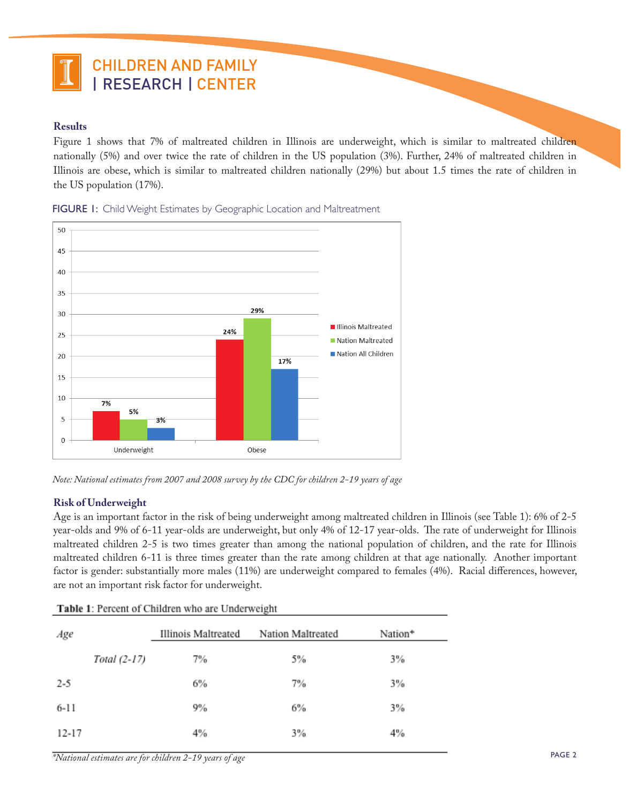

## **Results**

Figure 1 shows that 7% of maltreated children in Illinois are underweight, which is similar to maltreated children nationally (5%) and over twice the rate of children in the US population (3%). Further, 24% of maltreated children in Illinois are obese, which is similar to maltreated children nationally (29%) but about 1.5 times the rate of children in the US population (17%).



FIGURE I: Child Weight Estimates by Geographic Location and Maltreatment

# **Risk of Underweight**

Age is an important factor in the risk of being underweight among maltreated children in Illinois (see Table 1): 6% of 2-5 year-olds and 9% of 6-11 year-olds are underweight, but only 4% of 12-17 year-olds. The rate of underweight for Illinois maltreated children 2-5 is two times greater than among the national population of children, and the rate for Illinois maltreated children 6-11 is three times greater than the rate among children at that age nationally. Another important factor is gender: substantially more males (11%) are underweight compared to females (4%). Racial differences, however, are not an important risk factor for underweight.

| Table 1: Percent of Children who are Underweight |              |                     |                   |         |  |  |  |  |  |
|--------------------------------------------------|--------------|---------------------|-------------------|---------|--|--|--|--|--|
| Age                                              |              | Illinois Maltreated | Nation Maltreated | Nation* |  |  |  |  |  |
|                                                  | Total (2-17) | 7%                  | 5%                | 3%      |  |  |  |  |  |
| $2 - 5$                                          |              | 6%                  | 7%                | 3%      |  |  |  |  |  |
| $6 - 11$                                         |              | 9%                  | 6%                | 3%      |  |  |  |  |  |
| $12 - 17$                                        |              | 4%                  | 3%                | 4%      |  |  |  |  |  |

*\*National estimates are for children 2-19 years of age*

*Note: National estimates from 2007 and 2008 survey by the CDC for children 2-19 years of age*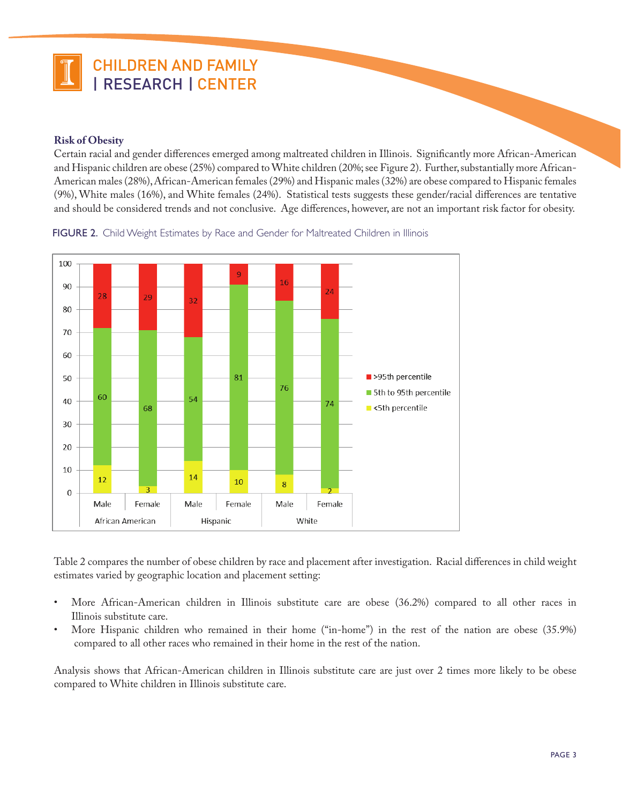

## **Risk of Obesity**

Certain racial and gender differences emerged among maltreated children in Illinois. Significantly more African-American and Hispanic children are obese (25%) compared to White children (20%; see Figure 2). Further, substantially more African-American males (28%), African-American females (29%) and Hispanic males (32%) are obese compared to Hispanic females (9%), White males (16%), and White females (24%). Statistical tests suggests these gender/racial differences are tentative and should be considered trends and not conclusive. Age differences, however, are not an important risk factor for obesity.



FIGURE 2. Child Weight Estimates by Race and Gender for Maltreated Children in Illinois

Table 2 compares the number of obese children by race and placement after investigation. Racial differences in child weight estimates varied by geographic location and placement setting:

- More African-American children in Illinois substitute care are obese (36.2%) compared to all other races in Illinois substitute care.
- More Hispanic children who remained in their home ("in-home") in the rest of the nation are obese (35.9%) compared to all other races who remained in their home in the rest of the nation.

Analysis shows that African-American children in Illinois substitute care are just over 2 times more likely to be obese compared to White children in Illinois substitute care.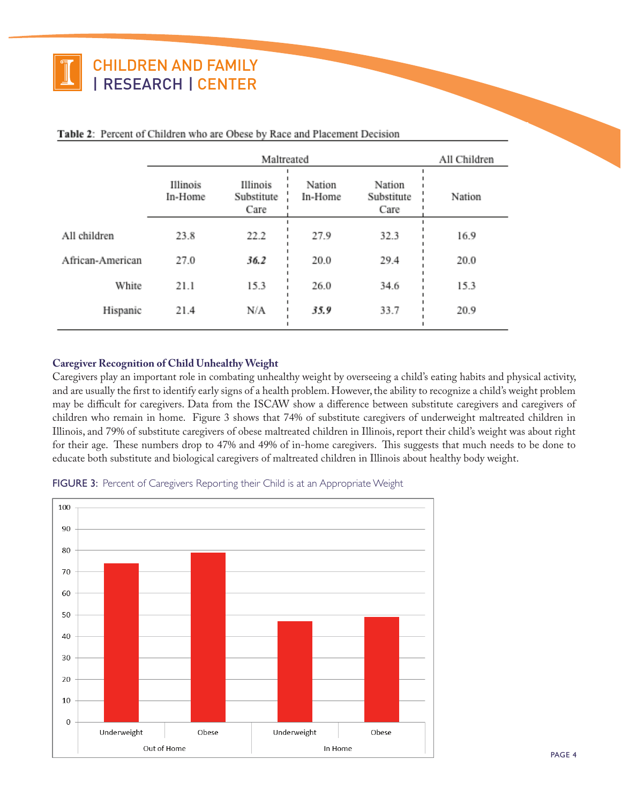# CHILDREN AND FAMILY | RESEARCH | CENTER

|                  |                     | All Children                   |                   |                              |        |
|------------------|---------------------|--------------------------------|-------------------|------------------------------|--------|
|                  | Illinois<br>In-Home | Illinois<br>Substitute<br>Care | Nation<br>In-Home | Nation<br>Substitute<br>Care | Nation |
| All children     | 23.8                | 22.2                           | 27.9              | 32.3                         | 16.9   |
| African-American | 27.0                | 36.2                           | 20.0              | 29.4                         | 20.0   |
| White            | 21.1                | 15.3                           | 26.0              | 34.6                         | 15.3   |
| Hispanic         | 21.4                | N/A                            | 35.9              | 33.7                         | 20.9   |

### Table 2: Percent of Children who are Obese by Race and Placement Decision

## **Caregiver Recognition of Child Unhealthy Weight**

Caregivers play an important role in combating unhealthy weight by overseeing a child's eating habits and physical activity, and are usually the first to identify early signs of a health problem. However, the ability to recognize a child's weight problem may be difficult for caregivers. Data from the ISCAW show a difference between substitute caregivers and caregivers of children who remain in home. Figure 3 shows that 74% of substitute caregivers of underweight maltreated children in Illinois, and 79% of substitute caregivers of obese maltreated children in Illinois, report their child's weight was about right for their age. These numbers drop to 47% and 49% of in-home caregivers. This suggests that much needs to be done to educate both substitute and biological caregivers of maltreated children in Illinois about healthy body weight.